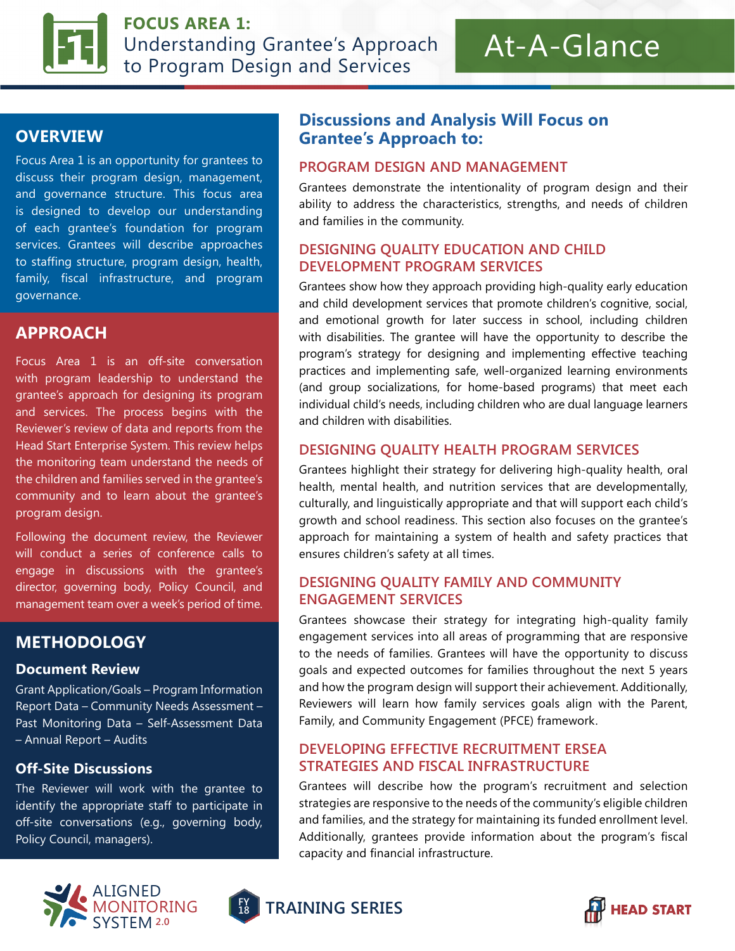

**FOCUS AREA 1:** Understanding Grantee's Approach to Program Design and Services

# At-A-Glance

# **OVERVIEW**

Focus Area 1 is an opportunity for grantees to discuss their program design, management, and governance structure. This focus area is designed to develop our understanding of each grantee's foundation for program services. Grantees will describe approaches to staffing structure, program design, health, family, fiscal infrastructure, and program governance.

# **APPROACH**

Focus Area 1 is an off-site conversation with program leadership to understand the grantee's approach for designing its program and services. The process begins with the Reviewer's review of data and reports from the Head Start Enterprise System. This review helps the monitoring team understand the needs of the children and families served in the grantee's community and to learn about the grantee's program design.

Following the document review, the Reviewer will conduct a series of conference calls to engage in discussions with the grantee's director, governing body, Policy Council, and management team over a week's period of time.

# **METHODOLOGY**

#### **Document Review**

Grant Application/Goals – Program Information Report Data – Community Needs Assessment – Past Monitoring Data – Self-Assessment Data – Annual Report – Audits

#### **Off-Site Discussions**

The Reviewer will work with the grantee to identify the appropriate staff to participate in off-site conversations (e.g., governing body, Policy Council, managers).



# **Discussions and Analysis Will Focus on Grantee's Approach to:**

#### **PROGRAM DESIGN AND MANAGEMENT**

Grantees demonstrate the intentionality of program design and their ability to address the characteristics, strengths, and needs of children and families in the community.

#### **DESIGNING QUALITY EDUCATION AND CHILD DEVELOPMENT PROGRAM SERVICES**

Grantees show how they approach providing high-quality early education and child development services that promote children's cognitive, social, and emotional growth for later success in school, including children with disabilities. The grantee will have the opportunity to describe the program's strategy for designing and implementing effective teaching practices and implementing safe, well-organized learning environments (and group socializations, for home-based programs) that meet each individual child's needs, including children who are dual language learners and children with disabilities.

#### **DESIGNING QUALITY HEALTH PROGRAM SERVICES**

Grantees highlight their strategy for delivering high-quality health, oral health, mental health, and nutrition services that are developmentally, culturally, and linguistically appropriate and that will support each child's growth and school readiness. This section also focuses on the grantee's approach for maintaining a system of health and safety practices that ensures children's safety at all times.

#### **DESIGNING QUALITY FAMILY AND COMMUNITY ENGAGEMENT SERVICES**

Grantees showcase their strategy for integrating high-quality family engagement services into all areas of programming that are responsive to the needs of families. Grantees will have the opportunity to discuss goals and expected outcomes for families throughout the next 5 years and how the program design will support their achievement. Additionally, Reviewers will learn how family services goals align with the Parent, Family, and Community Engagement (PFCE) framework.

#### **DEVELOPING EFFECTIVE RECRUITMENT ERSEA STRATEGIES AND FISCAL INFRASTRUCTURE**

Grantees will describe how the program's recruitment and selection strategies are responsive to the needs of the community's eligible children and families, and the strategy for maintaining its funded enrollment level. Additionally, grantees provide information about the program's fiscal capacity and financial infrastructure.



**FY <sup>18</sup> TRAINING SERIES**